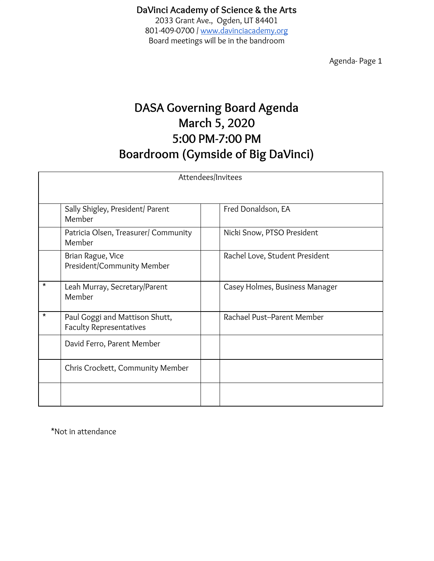#### **DaVinci Academy of Science & the Arts** 2033 Grant Ave., Ogden, UT 84401 801-409-0700 / [www.davinciacademy.org](http://www.davinciacademy.org/) Board meetings will be in the bandroom

Agenda- Page 1

# **DASA Governing Board Agenda March 5, 2020 5:00 PM-7:00 PM Boardroom (Gymside of Big DaVinci)**

| Attendees/Invitees |                                                                  |  |                                |
|--------------------|------------------------------------------------------------------|--|--------------------------------|
|                    |                                                                  |  |                                |
|                    | Sally Shigley, President/ Parent<br>Member                       |  | Fred Donaldson, EA             |
|                    | Patricia Olsen, Treasurer/ Community<br>Member                   |  | Nicki Snow, PTSO President     |
|                    | Brian Rague, Vice<br>President/Community Member                  |  | Rachel Love, Student President |
| *                  | Leah Murray, Secretary/Parent<br>Member                          |  | Casey Holmes, Business Manager |
| *                  | Paul Goggi and Mattison Shutt,<br><b>Faculty Representatives</b> |  | Rachael Pust--Parent Member    |
|                    | David Ferro, Parent Member                                       |  |                                |
|                    | Chris Crockett, Community Member                                 |  |                                |
|                    |                                                                  |  |                                |

\*Not in attendance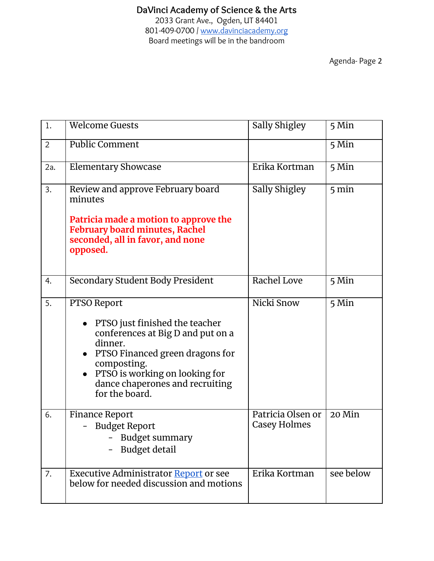# **DaVinci Academy of Science & the Arts**

2033 Grant Ave., Ogden, UT 84401 801-409-0700 / [www.davinciacademy.org](http://www.davinciacademy.org/) Board meetings will be in the bandroom

| 1.             | <b>Welcome Guests</b>                                                                                                                                                                                                                      | Sally Shigley                     | 5 Min           |
|----------------|--------------------------------------------------------------------------------------------------------------------------------------------------------------------------------------------------------------------------------------------|-----------------------------------|-----------------|
| $\overline{2}$ | <b>Public Comment</b>                                                                                                                                                                                                                      |                                   | 5 Min           |
| 2a.            | <b>Elementary Showcase</b>                                                                                                                                                                                                                 | Erika Kortman                     | 5 Min           |
| 3.             | Review and approve February board<br>minutes<br>Patricia made a motion to approve the<br><b>February board minutes, Rachel</b><br>seconded, all in favor, and none<br>opposed.                                                             | Sally Shigley                     | $5 \text{ min}$ |
| 4.             | Secondary Student Body President                                                                                                                                                                                                           | Rachel Love                       | 5 Min           |
| 5.             | PTSO Report<br>• PTSO just finished the teacher<br>conferences at Big D and put on a<br>dinner.<br>• PTSO Financed green dragons for<br>composting.<br>PTSO is working on looking for<br>dance chaperones and recruiting<br>for the board. | Nicki Snow                        | 5 Min           |
| 6.             | <b>Finance Report</b><br><b>Budget Report</b><br>- Budget summary<br>Budget detail                                                                                                                                                         | Patricia Olsen or<br>Casey Holmes | $20$ Min        |
| 7.             | Executive Administrator Report or see<br>below for needed discussion and motions                                                                                                                                                           | Erika Kortman                     | see below       |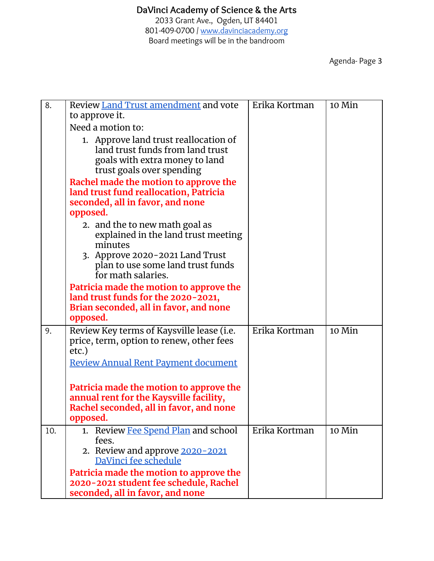2033 Grant Ave., Ogden, UT 84401 801-409-0700 / [www.davinciacademy.org](http://www.davinciacademy.org/) Board meetings will be in the bandroom

| 8.  | Review Land Trust amendment and vote                                                                                                      | Erika Kortman | 10 Min   |
|-----|-------------------------------------------------------------------------------------------------------------------------------------------|---------------|----------|
|     | to approve it.<br>Need a motion to:                                                                                                       |               |          |
|     | 1. Approve land trust reallocation of<br>land trust funds from land trust<br>goals with extra money to land<br>trust goals over spending  |               |          |
|     | Rachel made the motion to approve the<br>land trust fund reallocation, Patricia<br>seconded, all in favor, and none<br>opposed.           |               |          |
|     | 2. and the to new math goal as<br>explained in the land trust meeting<br>minutes                                                          |               |          |
|     | 3. Approve 2020-2021 Land Trust<br>plan to use some land trust funds<br>for math salaries.                                                |               |          |
|     | Patricia made the motion to approve the<br>land trust funds for the 2020-2021,<br>Brian seconded, all in favor, and none<br>opposed.      |               |          |
| 9.  | Review Key terms of Kaysville lease (i.e.<br>price, term, option to renew, other fees<br>etc.)                                            | Erika Kortman | $10$ Min |
|     | <b>Review Annual Rent Payment document</b>                                                                                                |               |          |
|     | Patricia made the motion to approve the<br>annual rent for the Kaysville facility,<br>Rachel seconded, all in favor, and none<br>opposed. |               |          |
| 10. | 1. Review Fee Spend Plan and school<br>fees.<br>2. Review and approve 2020-2021<br>DaVinci fee schedule                                   | Erika Kortman | 10 Min   |
|     | Patricia made the motion to approve the<br>2020-2021 student fee schedule, Rachel<br>seconded, all in favor, and none                     |               |          |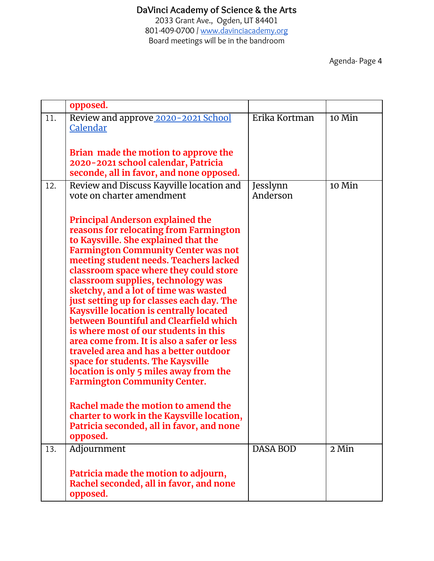## **DaVinci Academy of Science & the Arts**

2033 Grant Ave., Ogden, UT 84401 801-409-0700 / [www.davinciacademy.org](http://www.davinciacademy.org/) Board meetings will be in the bandroom

|     | opposed.                                                                                                                                                                                                                                                                                                                                                                                                                                                                                                                                                                                                                                                                                                                                                                                                                                                                     |                      |        |
|-----|------------------------------------------------------------------------------------------------------------------------------------------------------------------------------------------------------------------------------------------------------------------------------------------------------------------------------------------------------------------------------------------------------------------------------------------------------------------------------------------------------------------------------------------------------------------------------------------------------------------------------------------------------------------------------------------------------------------------------------------------------------------------------------------------------------------------------------------------------------------------------|----------------------|--------|
| 11. | Review and approve 2020-2021 School<br>Calendar<br>Brian made the motion to approve the<br>2020-2021 school calendar, Patricia                                                                                                                                                                                                                                                                                                                                                                                                                                                                                                                                                                                                                                                                                                                                               | Erika Kortman        | 10 Min |
|     | seconde, all in favor, and none opposed.                                                                                                                                                                                                                                                                                                                                                                                                                                                                                                                                                                                                                                                                                                                                                                                                                                     |                      |        |
| 12. | Review and Discuss Kayville location and<br>vote on charter amendment                                                                                                                                                                                                                                                                                                                                                                                                                                                                                                                                                                                                                                                                                                                                                                                                        | Jesslynn<br>Anderson | 10 Min |
|     | <b>Principal Anderson explained the</b><br>reasons for relocating from Farmington<br>to Kaysville. She explained that the<br><b>Farmington Community Center was not</b><br>meeting student needs. Teachers lacked<br>classroom space where they could store<br>classroom supplies, technology was<br>sketchy, and a lot of time was wasted<br>just setting up for classes each day. The<br><b>Kaysville location is centrally located</b><br>between Bountiful and Clearfield which<br>is where most of our students in this<br>area come from. It is also a safer or less<br>traveled area and has a better outdoor<br>space for students. The Kaysville<br>location is only 5 miles away from the<br><b>Farmington Community Center.</b><br>Rachel made the motion to amend the<br>charter to work in the Kaysville location,<br>Patricia seconded, all in favor, and none |                      |        |
|     | opposed.                                                                                                                                                                                                                                                                                                                                                                                                                                                                                                                                                                                                                                                                                                                                                                                                                                                                     |                      |        |
| 13. | Adjournment                                                                                                                                                                                                                                                                                                                                                                                                                                                                                                                                                                                                                                                                                                                                                                                                                                                                  | <b>DASA BOD</b>      | 2 Min  |
|     | Patricia made the motion to adjourn,<br>Rachel seconded, all in favor, and none<br>opposed.                                                                                                                                                                                                                                                                                                                                                                                                                                                                                                                                                                                                                                                                                                                                                                                  |                      |        |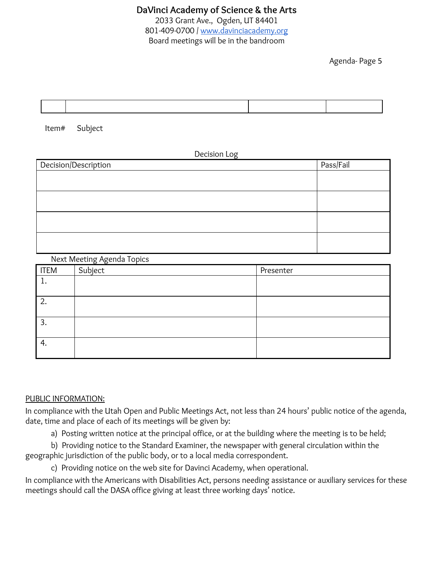Agenda- Page 5



Item# Subject

Decision Log

| Pass/Fail |
|-----------|
|           |
|           |
|           |
|           |
|           |
|           |
|           |
|           |
|           |

Next Meeting Agenda Topics

| <b>ITEM</b> | Subject | Presenter |
|-------------|---------|-----------|
| ∸           |         |           |
|             |         |           |
| ົາ<br>۷     |         |           |
|             |         |           |
| 3.          |         |           |
|             |         |           |
| 4.          |         |           |
|             |         |           |

#### PUBLIC INFORMATION:

In compliance with the Utah Open and Public Meetings Act, not less than 24 hours' public notice of the agenda, date, time and place of each of its meetings will be given by:

a) Posting written notice at the principal office, or at the building where the meeting is to be held;

b) Providing notice to the Standard Examiner, the newspaper with general circulation within the geographic jurisdiction of the public body, or to a local media correspondent.

c) Providing notice on the web site for Davinci Academy, when operational.

In compliance with the Americans with Disabilities Act, persons needing assistance or auxiliary services for these meetings should call the DASA office giving at least three working days' notice.